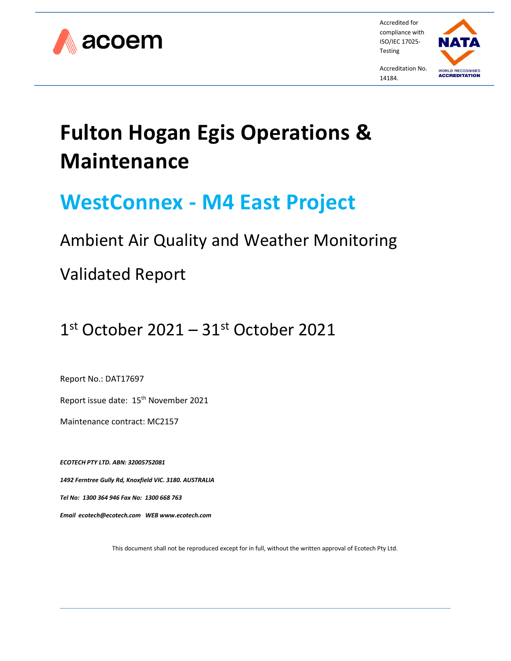

Accredited for compliance with ISO/IEC 17025- Testing



Accreditation No. 14184.

# **Fulton Hogan Egis Operations & Maintenance**

# **WestConnex - M4 East Project**

# Ambient Air Quality and Weather Monitoring

# Validated Report

# 1<sup>st</sup> October 2021 – 31<sup>st</sup> October 2021

Report No.: DAT17697

Report issue date: 15<sup>th</sup> November 2021

Maintenance contract: MC2157

*ECOTECH PTY LTD. ABN: 32005752081 1492 Ferntree Gully Rd, Knoxfield VIC. 3180. AUSTRALIA Tel No: 1300 364 946 Fax No: 1300 668 763 Email [ecotech@ecotech.com](mailto:ecotech@ecotech.com.au) WEB www.ecotech.com*

This document shall not be reproduced except for in full, without the written approval of Ecotech Pty Ltd.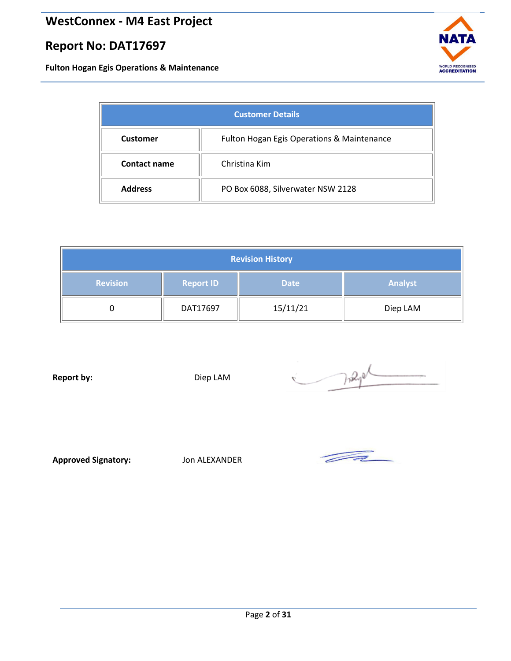# **Report No: DAT17697**

**Fulton Hogan Egis Operations & Maintenance**

<span id="page-1-0"></span>

| <b>Customer Details</b> |                                            |  |  |
|-------------------------|--------------------------------------------|--|--|
| <b>Customer</b>         | Fulton Hogan Egis Operations & Maintenance |  |  |
| Contact name            | Christina Kim                              |  |  |
| <b>Address</b>          | PO Box 6088, Silverwater NSW 2128          |  |  |

<span id="page-1-1"></span>

| <b>Revision History</b> |                  |             |                |  |
|-------------------------|------------------|-------------|----------------|--|
| <b>Revision</b>         | <b>Report ID</b> | <b>Date</b> | <b>Analyst</b> |  |
|                         | DAT17697         | 15/11/21    | Diep LAM       |  |

**Report by:** Diep LAM

Trage

**Approved Signatory:** Jon ALEXANDER

 $\sqrt{2}$ 

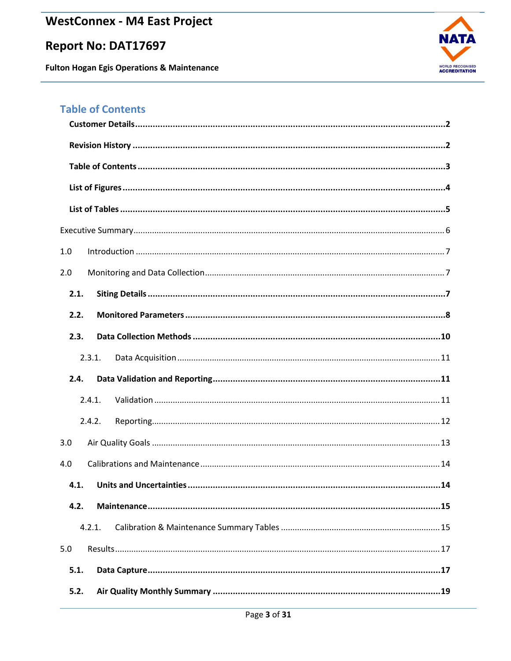# Report No: DAT17697

**Fulton Hogan Egis Operations & Maintenance** 



# <span id="page-2-0"></span>**Table of Contents**

| 1.0    |
|--------|
| 2.0    |
| 2.1.   |
| 2.2.   |
| 2.3.   |
| 2.3.1. |
| 2.4.   |
| 2.4.1. |
| 2.4.2. |
| 3.0    |
| 4.0    |
| 4.1.   |
| 4.2.   |
| 4.2.1. |
| 5.0    |
| 5.1.   |
| 5.2.   |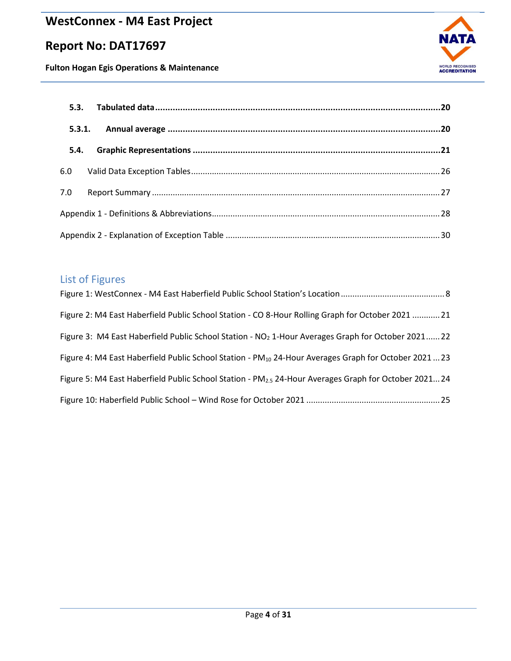# **Report No: DAT17697**

**NATA WORLD RECOGNISED**<br>**ACCREDITATION** 

**Fulton Hogan Egis Operations & Maintenance**

| 5.4. |  |
|------|--|
| 6.0  |  |
| 7.0  |  |
|      |  |
|      |  |

# <span id="page-3-0"></span>List of Figures

| Figure 2: M4 East Haberfield Public School Station - CO 8-Hour Rolling Graph for October 2021  21               |
|-----------------------------------------------------------------------------------------------------------------|
| Figure 3: M4 East Haberfield Public School Station - NO <sub>2</sub> 1-Hour Averages Graph for October 202122   |
| Figure 4: M4 East Haberfield Public School Station - PM <sub>10</sub> 24-Hour Averages Graph for October 202123 |
| Figure 5: M4 East Haberfield Public School Station - $PM_{2.5}$ 24-Hour Averages Graph for October 202124       |
|                                                                                                                 |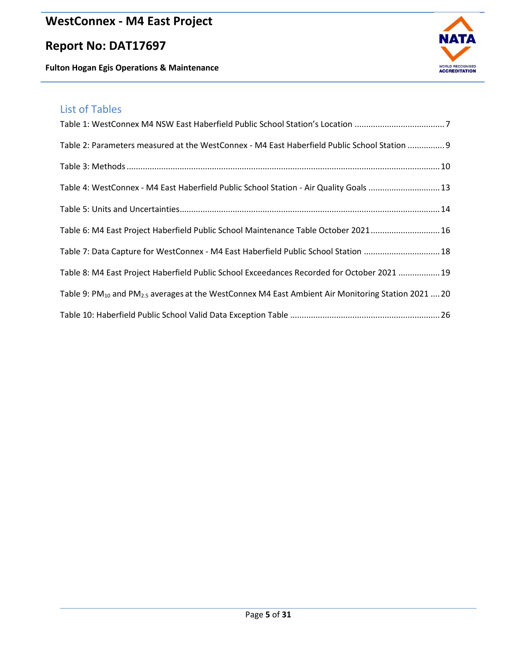# **Report No: DAT17697**

**Fulton Hogan Egis Operations & Maintenance**



# <span id="page-4-0"></span>List of Tables

| Table 2: Parameters measured at the WestConnex - M4 East Haberfield Public School Station  9                               |
|----------------------------------------------------------------------------------------------------------------------------|
|                                                                                                                            |
| Table 4: WestConnex - M4 East Haberfield Public School Station - Air Quality Goals 13                                      |
|                                                                                                                            |
| Table 6: M4 East Project Haberfield Public School Maintenance Table October 2021 16                                        |
| Table 7: Data Capture for WestConnex - M4 East Haberfield Public School Station  18                                        |
| Table 8: M4 East Project Haberfield Public School Exceedances Recorded for October 2021  19                                |
| Table 9: PM <sub>10</sub> and PM <sub>2.5</sub> averages at the WestConnex M4 East Ambient Air Monitoring Station 2021  20 |
|                                                                                                                            |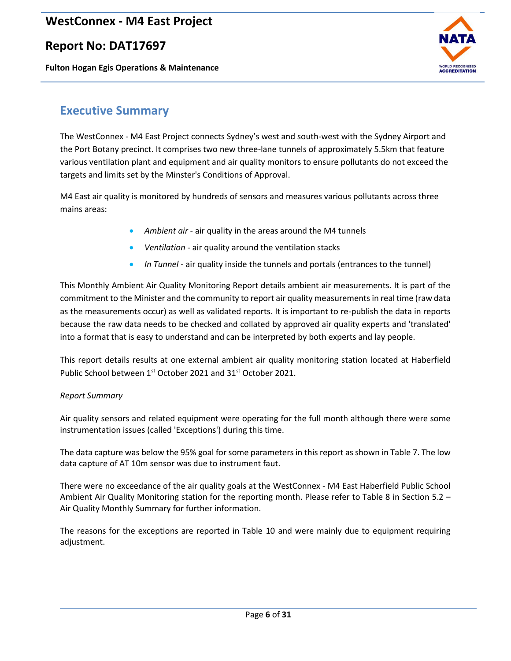### **Report No: DAT17697**

**Fulton Hogan Egis Operations & Maintenance**



### <span id="page-5-0"></span>**Executive Summary**

The WestConnex - M4 East Project connects Sydney's west and south-west with the Sydney Airport and the Port Botany precinct. It comprises two new three-lane tunnels of approximately 5.5km that feature various ventilation plant and equipment and air quality monitors to ensure pollutants do not exceed the targets and limits set by the Minster's Conditions of Approval.

M4 East air quality is monitored by hundreds of sensors and measures various pollutants across three mains areas:

- *Ambient air* air quality in the areas around the M4 tunnels
- *Ventilation* air quality around the ventilation stacks
- *In Tunnel* air quality inside the tunnels and portals (entrances to the tunnel)

This Monthly Ambient Air Quality Monitoring Report details ambient air measurements. It is part of the commitment to the Minister and the community to report air quality measurements in real time (raw data as the measurements occur) as well as validated reports. It is important to re-publish the data in reports because the raw data needs to be checked and collated by approved air quality experts and 'translated' into a format that is easy to understand and can be interpreted by both experts and lay people.

This report details results at one external ambient air quality monitoring station located at Haberfield Public School between 1<sup>st</sup> October 2021 and 31<sup>st</sup> October 2021.

#### *Report Summary*

Air quality sensors and related equipment were operating for the full month although there were some instrumentation issues (called 'Exceptions') during this time.

The data capture was below the 95% goal for some parameters in this report as shown in Table 7. The low data capture of AT 10m sensor was due to instrument faut.

There were no exceedance of the air quality goals at the WestConnex - M4 East Haberfield Public School Ambient Air Quality Monitoring station for the reporting month. Please refer to Table 8 in Section 5.2 – Air Quality Monthly Summary for further information.

The reasons for the exceptions are reported in Table 10 and were mainly due to equipment requiring adjustment.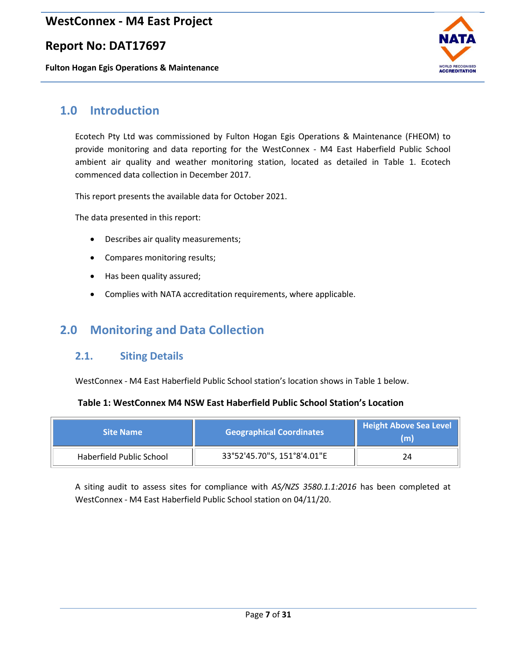### **Report No: DAT17697**

**Fulton Hogan Egis Operations & Maintenance**



## <span id="page-6-0"></span>**1.0 Introduction**

Ecotech Pty Ltd was commissioned by Fulton Hogan Egis Operations & Maintenance (FHEOM) to provide monitoring and data reporting for the WestConnex - M4 East Haberfield Public School ambient air quality and weather monitoring station, located as detailed in Table 1. Ecotech commenced data collection in December 2017.

This report presents the available data for October 2021.

The data presented in this report:

- Describes air quality measurements;
- Compares monitoring results;
- Has been quality assured;
- Complies with NATA accreditation requirements, where applicable.

# <span id="page-6-2"></span><span id="page-6-1"></span>**2.0 Monitoring and Data Collection**

#### **2.1. Siting Details**

WestConnex - M4 East Haberfield Public School station's location shows in Table 1 below.

#### <span id="page-6-3"></span>**Table 1: WestConnex M4 NSW East Haberfield Public School Station's Location**

| <b>Site Name</b>         | <b>Geographical Coordinates</b> | <b>Height Above Sea Level</b><br>(m) |
|--------------------------|---------------------------------|--------------------------------------|
| Haberfield Public School | 33°52'45.70"S, 151°8'4.01"E     |                                      |

A siting audit to assess sites for compliance with *AS/NZS 3580.1.1:2016* has been completed at WestConnex - M4 East Haberfield Public School station on 04/11/20.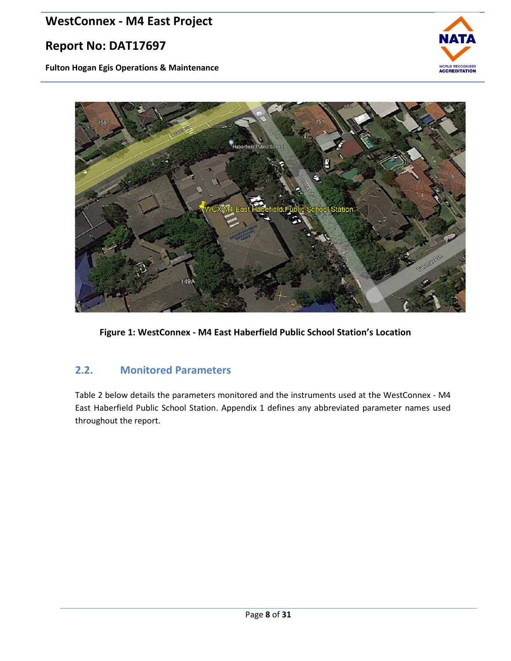# **Report No: DAT17697**

**Fulton Hogan Egis Operations & Maintenance**





<span id="page-7-1"></span>**Figure 1: WestConnex - M4 East Haberfield Public School Station's Location**

### <span id="page-7-0"></span>**2.2. Monitored Parameters**

Table 2 below details the parameters monitored and the instruments used at the WestConnex - M4 East Haberfield Public School Station. Appendix 1 defines any abbreviated parameter names used throughout the report.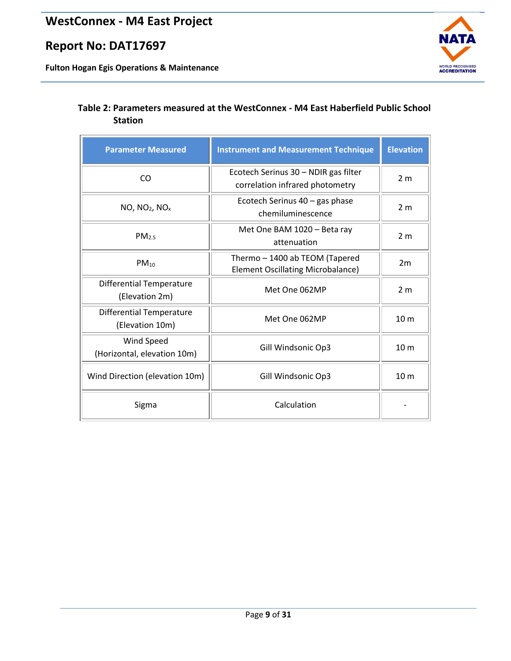**Fulton Hogan Egis Operations & Maintenance**



#### <span id="page-8-0"></span>**Table 2: Parameters measured at the WestConnex - M4 East Haberfield Public School Station**

| <b>Parameter Measured</b>                          | <b>Instrument and Measurement Technique</b>                                | <b>Elevation</b> |
|----------------------------------------------------|----------------------------------------------------------------------------|------------------|
| CO                                                 | Ecotech Serinus 30 - NDIR gas filter<br>correlation infrared photometry    | 2 <sub>m</sub>   |
| NO, NO <sub>2</sub> , NO <sub>x</sub>              | Ecotech Serinus 40 - gas phase<br>chemiluminescence                        | 2 <sub>m</sub>   |
| PM <sub>2.5</sub>                                  | Met One BAM 1020 - Beta ray<br>attenuation                                 | 2 <sub>m</sub>   |
| $PM_{10}$                                          | Thermo - 1400 ab TEOM (Tapered<br><b>Element Oscillating Microbalance)</b> | 2m               |
| <b>Differential Temperature</b><br>(Elevation 2m)  | Met One 062MP                                                              | 2 <sub>m</sub>   |
| <b>Differential Temperature</b><br>(Elevation 10m) | Met One 062MP                                                              | 10 <sub>m</sub>  |
| Wind Speed<br>(Horizontal, elevation 10m)          | Gill Windsonic Op3                                                         | 10 <sub>m</sub>  |
| Wind Direction (elevation 10m)                     | Gill Windsonic Op3                                                         | 10 <sub>m</sub>  |
| Sigma                                              | Calculation                                                                |                  |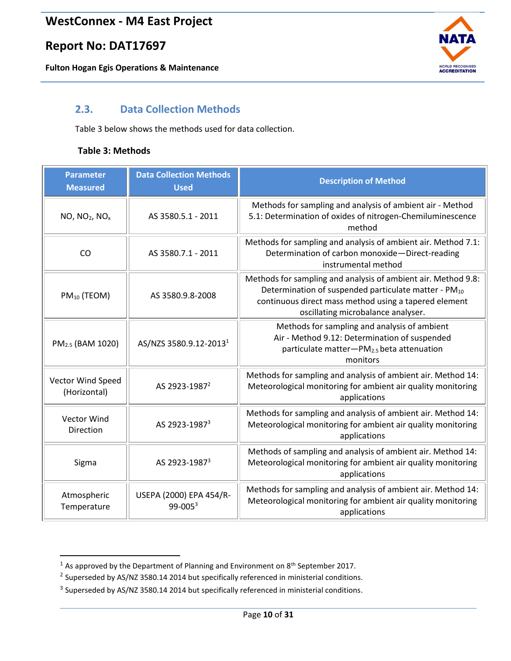**Fulton Hogan Egis Operations & Maintenance**

<span id="page-9-2"></span>

### <span id="page-9-0"></span>**2.3. Data Collection Methods**

[Table](#page-9-2) 3 below shows the methods used for [data collection.](#page-9-2) 

#### <span id="page-9-1"></span>**Table 3: Methods**

| <b>Parameter</b><br><b>Measured</b>   | <b>Data Collection Methods</b><br><b>Used</b> | <b>Description of Method</b>                                                                                                                                                                                                     |
|---------------------------------------|-----------------------------------------------|----------------------------------------------------------------------------------------------------------------------------------------------------------------------------------------------------------------------------------|
| NO, NO <sub>2</sub> , NO <sub>x</sub> | AS 3580.5.1 - 2011                            | Methods for sampling and analysis of ambient air - Method<br>5.1: Determination of oxides of nitrogen-Chemiluminescence<br>method                                                                                                |
| CO                                    | AS 3580.7.1 - 2011                            | Methods for sampling and analysis of ambient air. Method 7.1:<br>Determination of carbon monoxide-Direct-reading<br>instrumental method                                                                                          |
| PM <sub>10</sub> (TEOM)               | AS 3580.9.8-2008                              | Methods for sampling and analysis of ambient air. Method 9.8:<br>Determination of suspended particulate matter - PM <sub>10</sub><br>continuous direct mass method using a tapered element<br>oscillating microbalance analyser. |
| PM <sub>2.5</sub> (BAM 1020)          | AS/NZS 3580.9.12-2013 <sup>1</sup>            | Methods for sampling and analysis of ambient<br>Air - Method 9.12: Determination of suspended<br>particulate matter-PM <sub>2.5</sub> beta attenuation<br>monitors                                                               |
| Vector Wind Speed<br>(Horizontal)     | AS 2923-1987 <sup>2</sup>                     | Methods for sampling and analysis of ambient air. Method 14:<br>Meteorological monitoring for ambient air quality monitoring<br>applications                                                                                     |
| Vector Wind<br>Direction              | AS 2923-1987 <sup>3</sup>                     | Methods for sampling and analysis of ambient air. Method 14:<br>Meteorological monitoring for ambient air quality monitoring<br>applications                                                                                     |
| Sigma                                 | AS 2923-1987 <sup>3</sup>                     | Methods of sampling and analysis of ambient air. Method 14:<br>Meteorological monitoring for ambient air quality monitoring<br>applications                                                                                      |
| Atmospheric<br>Temperature            | USEPA (2000) EPA 454/R-<br>$99 - 005^3$       | Methods for sampling and analysis of ambient air. Method 14:<br>Meteorological monitoring for ambient air quality monitoring<br>applications                                                                                     |

 $1$  As approved by the Department of Planning and Environment on  $8<sup>th</sup>$  September 2017.

 $^2$  Superseded by AS/NZ 3580.14 2014 but specifically referenced in ministerial conditions.

 $3$  Superseded by AS/NZ 3580.14 2014 but specifically referenced in ministerial conditions.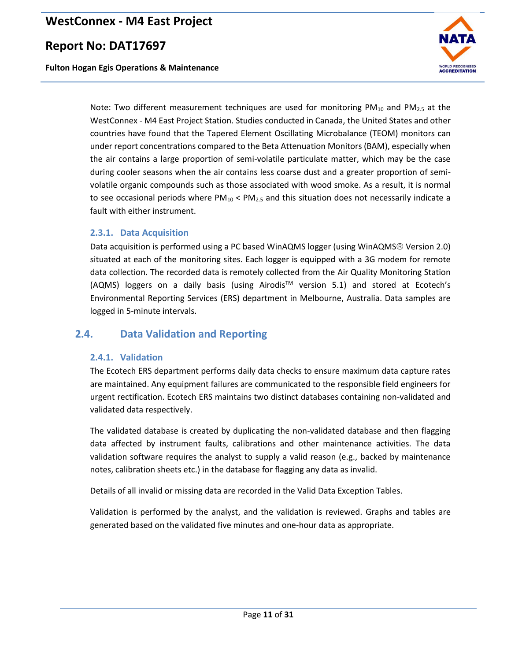### **Report No: DAT17697**

**Fulton Hogan Egis Operations & Maintenance**



Note: Two different measurement techniques are used for monitoring  $PM_{10}$  and  $PM_{2.5}$  at the WestConnex - M4 East Project Station. Studies conducted in Canada, the United States and other countries have found that the Tapered Element Oscillating Microbalance (TEOM) monitors can under report concentrations compared to the Beta Attenuation Monitors (BAM), especially when the air contains a large proportion of semi-volatile particulate matter, which may be the case during cooler seasons when the air contains less coarse dust and a greater proportion of semivolatile organic compounds such as those associated with wood smoke. As a result, it is normal to see occasional periods where  $PM_{10}$  <  $PM_{2.5}$  and this situation does not necessarily indicate a fault with either instrument.

#### <span id="page-10-0"></span>**2.3.1. Data Acquisition**

Data acquisition is performed using a PC based WinAQMS logger (using WinAQMS<sup>®</sup> Version 2.0) situated at each of the monitoring sites. Each logger is equipped with a 3G modem for remote data collection. The recorded data is remotely collected from the Air Quality Monitoring Station (AQMS) loggers on a daily basis (using Airodis™ version 5.1) and stored at Ecotech's Environmental Reporting Services (ERS) department in Melbourne, Australia. Data samples are logged in 5-minute intervals.

### <span id="page-10-2"></span><span id="page-10-1"></span>**2.4. Data Validation and Reporting**

#### **2.4.1. Validation**

The Ecotech ERS department performs daily data checks to ensure maximum data capture rates are maintained. Any equipment failures are communicated to the responsible field engineers for urgent rectification. Ecotech ERS maintains two distinct databases containing non-validated and validated data respectively.

The validated database is created by duplicating the non-validated database and then flagging data affected by instrument faults, calibrations and other maintenance activities. The data validation software requires the analyst to supply a valid reason (e.g., backed by maintenance notes, calibration sheets etc.) in the database for flagging any data as invalid.

Details of all invalid or missing data are recorded in the Valid Data Exception Tables.

Validation is performed by the analyst, and the validation is reviewed. Graphs and tables are generated based on the validated five minutes and one-hour data as appropriate.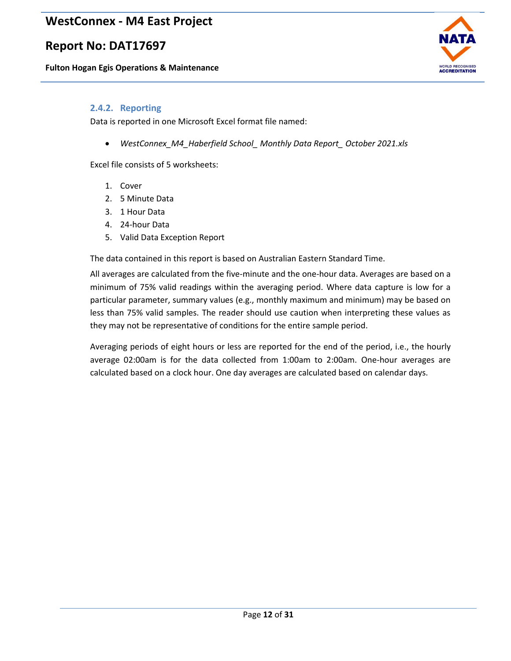## **Report No: DAT17697**

**Fulton Hogan Egis Operations & Maintenance**



#### <span id="page-11-0"></span>**2.4.2. Reporting**

Data is reported in one Microsoft Excel format file named:

• *WestConnex\_M4\_Haberfield School\_ Monthly Data Report\_ October 2021.xls*

Excel file consists of 5 worksheets:

- 1. Cover
- 2. 5 Minute Data
- 3. 1 Hour Data
- 4. 24-hour Data
- 5. Valid Data Exception Report

The data contained in this report is based on Australian Eastern Standard Time.

All averages are calculated from the five-minute and the one-hour data. Averages are based on a minimum of 75% valid readings within the averaging period. Where data capture is low for a particular parameter, summary values (e.g., monthly maximum and minimum) may be based on less than 75% valid samples. The reader should use caution when interpreting these values as they may not be representative of conditions for the entire sample period.

Averaging periods of eight hours or less are reported for the end of the period, i.e., the hourly average 02:00am is for the data collected from 1:00am to 2:00am. One-hour averages are calculated based on a clock hour. One day averages are calculated based on calendar days.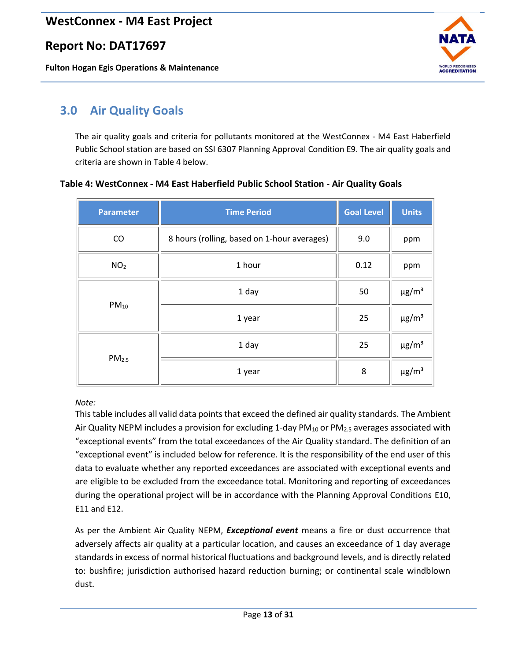### **Report No: DAT17697**

**Fulton Hogan Egis Operations & Maintenance**



# <span id="page-12-0"></span>**3.0 Air Quality Goals**

The air quality goals and criteria for pollutants monitored at the WestConnex - M4 East Haberfield Public School station are based on SSI 6307 Planning Approval Condition E9. The air quality goals and criteria are shown in Table 4 below.

#### <span id="page-12-1"></span>**Table 4: WestConnex - M4 East Haberfield Public School Station - Air Quality Goals**

| <b>Parameter</b>  | <b>Time Period</b>                          | <b>Goal Level</b> | <b>Units</b>           |
|-------------------|---------------------------------------------|-------------------|------------------------|
| CO                | 8 hours (rolling, based on 1-hour averages) | 9.0               | ppm                    |
| NO <sub>2</sub>   | 1 hour                                      | 0.12              | ppm                    |
| $PM_{10}$         | 1 day                                       | 50                | $\mu$ g/m <sup>3</sup> |
|                   | 1 year                                      | 25                | $\mu$ g/m <sup>3</sup> |
| PM <sub>2.5</sub> | 1 day                                       | 25                | $\mu$ g/m <sup>3</sup> |
|                   | 1 year                                      | 8                 | $\mu$ g/m <sup>3</sup> |

#### *Note:*

This table includes all valid data points that exceed the defined air quality standards. The Ambient Air Quality NEPM includes a provision for excluding 1-day  $PM_{10}$  or  $PM_{2.5}$  averages associated with "exceptional events" from the total exceedances of the Air Quality standard. The definition of an "exceptional event" is included below for reference. It is the responsibility of the end user of this data to evaluate whether any reported exceedances are associated with exceptional events and are eligible to be excluded from the exceedance total. Monitoring and reporting of exceedances during the operational project will be in accordance with the Planning Approval Conditions E10, E11 and E12.

As per the Ambient Air Quality NEPM, *Exceptional event* means a fire or dust occurrence that adversely affects air quality at a particular location, and causes an exceedance of 1 day average standards in excess of normal historical fluctuations and background levels, and is directly related to: bushfire; jurisdiction authorised hazard reduction burning; or continental scale windblown dust.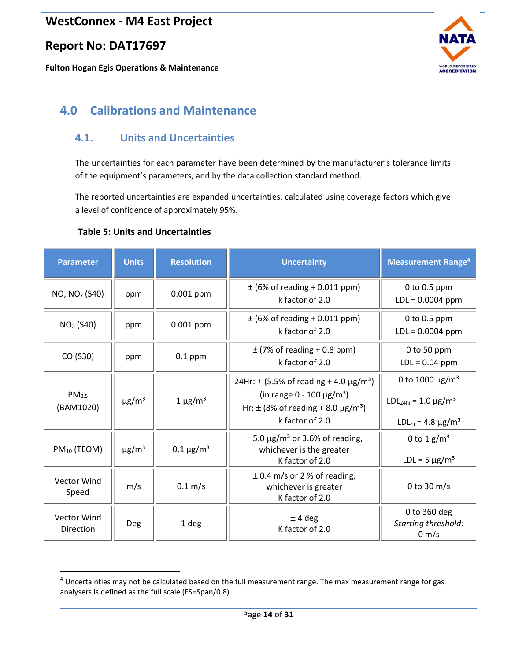### **Report No: DAT17697**

**Fulton Hogan Egis Operations & Maintenance**



# <span id="page-13-0"></span>**4.0 Calibrations and Maintenance**

### <span id="page-13-1"></span>**4.1. Units and Uncertainties**

The uncertainties for each parameter have been determined by the manufacturer's tolerance limits of the equipment's parameters, and by the data collection standard method.

The reported uncertainties are expanded uncertainties, calculated using coverage factors which give a level of confidence of approximately 95%.

#### <span id="page-13-2"></span>**Table 5: Units and Uncertainties**

| <b>Parameter</b>               | <b>Units</b>           | <b>Resolution</b>          | <b>Uncertainty</b>                                                                                                                                                                      | <b>Measurement Range<sup>4</sup></b>                                                                                                   |
|--------------------------------|------------------------|----------------------------|-----------------------------------------------------------------------------------------------------------------------------------------------------------------------------------------|----------------------------------------------------------------------------------------------------------------------------------------|
| NO, NO <sub>x</sub> (S40)      | ppm                    | 0.001 ppm                  | $\pm$ (6% of reading + 0.011 ppm)<br>k factor of $2.0$                                                                                                                                  | 0 to $0.5$ ppm<br>$LDL = 0.0004$ ppm                                                                                                   |
| NO <sub>2</sub> (S40)          | ppm                    | 0.001 ppm                  | $\pm$ (6% of reading + 0.011 ppm)<br>k factor of $2.0$                                                                                                                                  | 0 to $0.5$ ppm<br>$LDL = 0.0004$ ppm                                                                                                   |
| CO (S30)                       | ppm                    | $0.1$ ppm                  | $\pm$ (7% of reading + 0.8 ppm)<br>k factor of 2.0                                                                                                                                      | 0 to 50 ppm<br>$LDL = 0.04$ ppm                                                                                                        |
| PM <sub>2.5</sub><br>(BAM1020) | $\mu$ g/m <sup>3</sup> | $1 \mu g/m^3$              | 24Hr: $\pm$ (5.5% of reading + 4.0 $\mu$ g/m <sup>3</sup> )<br>(in range 0 - 100 $\mu$ g/m <sup>3</sup> )<br>Hr: $\pm$ (8% of reading + 8.0 $\mu$ g/m <sup>3</sup> )<br>k factor of 2.0 | 0 to 1000 $\mu$ g/m <sup>3</sup><br>LDL <sub>24hr</sub> = 1.0 $\mu$ g/m <sup>3</sup><br>LDL <sub>hr</sub> = 4.8 $\mu$ g/m <sup>3</sup> |
| PM <sub>10</sub> (TEOM)        | $\mu$ g/m <sup>3</sup> | $0.1 \,\mathrm{\mu g/m^3}$ | $\pm$ 5.0 $\mu$ g/m <sup>3</sup> or 3.6% of reading,<br>whichever is the greater<br>K factor of 2.0                                                                                     | 0 to 1 $g/m^3$<br>LDL = $5 \mu g/m^3$                                                                                                  |
| <b>Vector Wind</b><br>Speed    | m/s                    | $0.1 \, \text{m/s}$        | $\pm$ 0.4 m/s or 2 % of reading,<br>whichever is greater<br>K factor of 2.0                                                                                                             | 0 to 30 $m/s$                                                                                                                          |
| Vector Wind<br>Direction       | Deg                    | 1 deg                      | $±$ 4 deg<br>K factor of 2.0                                                                                                                                                            | 0 to 360 deg<br>Starting threshold:<br>$0 \text{ m/s}$                                                                                 |

<sup>4</sup> Uncertainties may not be calculated based on the full measurement range. The max measurement range for gas analysers is defined as the full scale (FS=Span/0.8).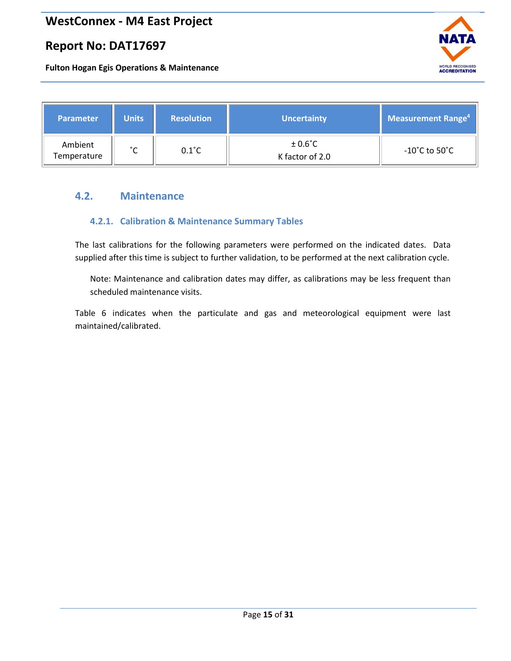# **Report No: DAT17697**

**Fulton Hogan Egis Operations & Maintenance**



| <b>Parameter</b>       | Units      | <b>Resolution</b> | <b>Uncertainty</b>                  | Measurement Range <sup>4</sup>      |
|------------------------|------------|-------------------|-------------------------------------|-------------------------------------|
| Ambient<br>Temperature | $^{\circ}$ | $0.1^{\circ}$ C   | $±0.6^{\circ}$ C<br>K factor of 2.0 | -10 $^{\circ}$ C to 50 $^{\circ}$ C |

#### <span id="page-14-1"></span><span id="page-14-0"></span>**4.2. Maintenance**

#### **4.2.1. Calibration & Maintenance Summary Tables**

The last calibrations for the following parameters were performed on the indicated dates. Data supplied after this time is subject to further validation, to be performed at the next calibration cycle.

Note: Maintenance and calibration dates may differ, as calibrations may be less frequent than scheduled maintenance visits.

Table 6 indicates when the particulate and gas and meteorological equipment were last maintained/calibrated.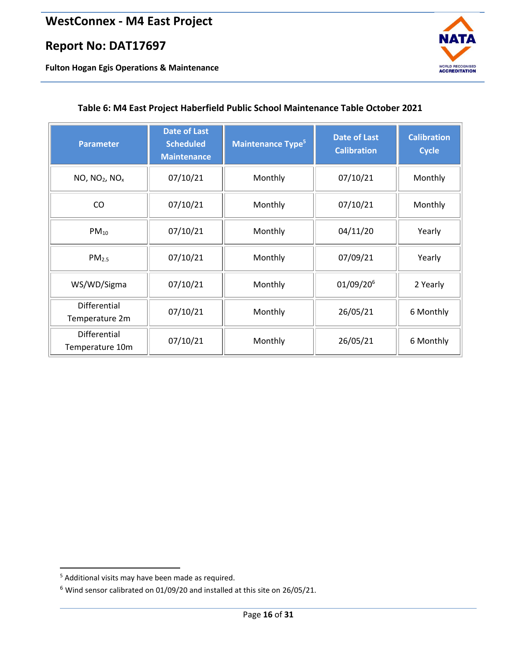**Fulton Hogan Egis Operations & Maintenance**



#### <span id="page-15-0"></span>**Table 6: M4 East Project Haberfield Public School Maintenance Table October 2021**

| <b>Parameter</b>                      | <b>Date of Last</b><br><b>Scheduled</b><br><b>Maintenance</b> | <b>Maintenance Type<sup>5</sup></b> | <b>Date of Last</b><br><b>Calibration</b> | <b>Calibration</b><br><b>Cycle</b> |  |
|---------------------------------------|---------------------------------------------------------------|-------------------------------------|-------------------------------------------|------------------------------------|--|
| NO, NO <sub>2</sub> , NO <sub>x</sub> | 07/10/21                                                      | Monthly                             | 07/10/21                                  | Monthly                            |  |
| CO                                    | 07/10/21                                                      | Monthly                             | 07/10/21                                  | Monthly                            |  |
| $PM_{10}$                             | 07/10/21                                                      | Monthly                             | 04/11/20                                  | Yearly                             |  |
| PM <sub>2.5</sub>                     | 07/10/21                                                      | Monthly                             | 07/09/21                                  | Yearly                             |  |
| WS/WD/Sigma                           | 07/10/21                                                      | Monthly                             | 01/09/20 <sup>6</sup>                     | 2 Yearly                           |  |
| Differential<br>Temperature 2m        | 07/10/21                                                      | Monthly                             | 26/05/21                                  | 6 Monthly                          |  |
| Differential<br>Temperature 10m       | 07/10/21                                                      | Monthly                             | 26/05/21                                  | 6 Monthly                          |  |

<sup>5</sup> Additional visits may have been made as required.

<sup>6</sup> Wind sensor calibrated on 01/09/20 and installed at this site on 26/05/21.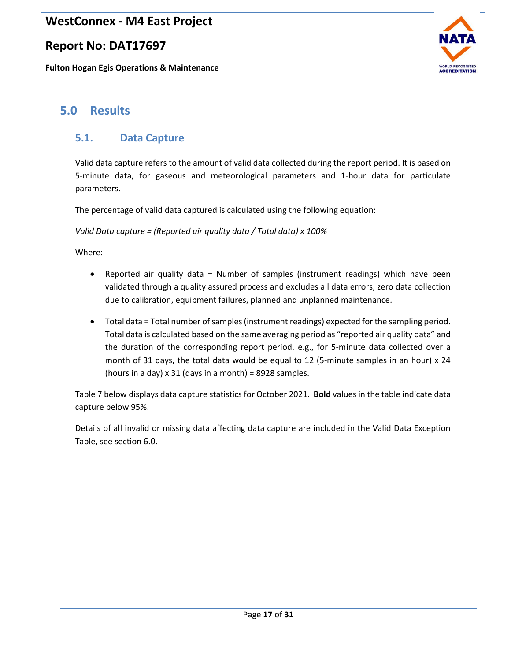### **Report No: DAT17697**

**Fulton Hogan Egis Operations & Maintenance**



# <span id="page-16-0"></span>**5.0 Results**

### <span id="page-16-1"></span>**5.1. Data Capture**

Valid data capture refers to the amount of valid data collected during the report period. It is based on 5-minute data, for gaseous and meteorological parameters and 1-hour data for particulate parameters.

The percentage of valid data captured is calculated using the following equation:

*Valid Data capture = (Reported air quality data / Total data) x 100%*

Where:

- Reported air quality data = Number of samples (instrument readings) which have been validated through a quality assured process and excludes all data errors, zero data collection due to calibration, equipment failures, planned and unplanned maintenance.
- Total data = Total number of samples (instrument readings) expected for the sampling period. Total data is calculated based on the same averaging period as "reported air quality data" and the duration of the corresponding report period. e.g., for 5-minute data collected over a month of 31 days, the total data would be equal to 12 (5-minute samples in an hour) x 24 (hours in a day)  $x$  31 (days in a month) = 8928 samples.

Table 7 below displays data capture statistics for October 2021. **Bold** values in the table indicate data capture below 95%.

Details of all invalid or missing data affecting data capture are included in the Valid Data Exception Table, see section 6.0.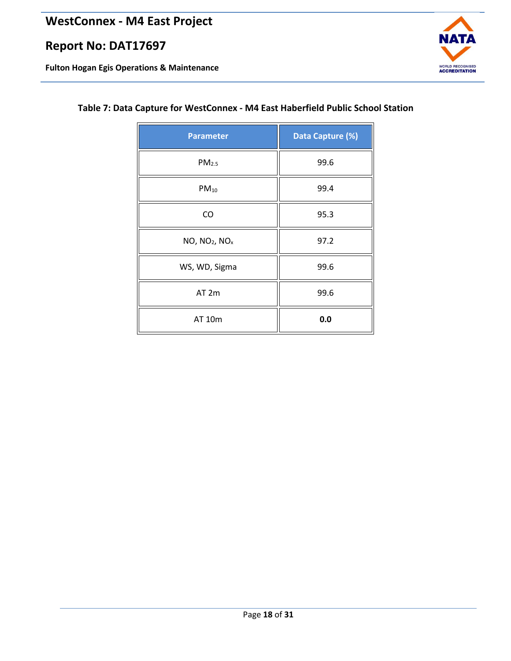**Fulton Hogan Egis Operations & Maintenance**



### <span id="page-17-0"></span>**Table 7: Data Capture for WestConnex - M4 East Haberfield Public School Station**

| <b>Parameter</b>                      | Data Capture (%) |  |
|---------------------------------------|------------------|--|
| PM <sub>2.5</sub>                     | 99.6             |  |
| $PM_{10}$                             | 99.4             |  |
| CO                                    | 95.3             |  |
| NO, NO <sub>2</sub> , NO <sub>x</sub> | 97.2             |  |
| WS, WD, Sigma                         | 99.6             |  |
| AT <sub>2m</sub>                      | 99.6             |  |
| AT 10m                                | 0.0              |  |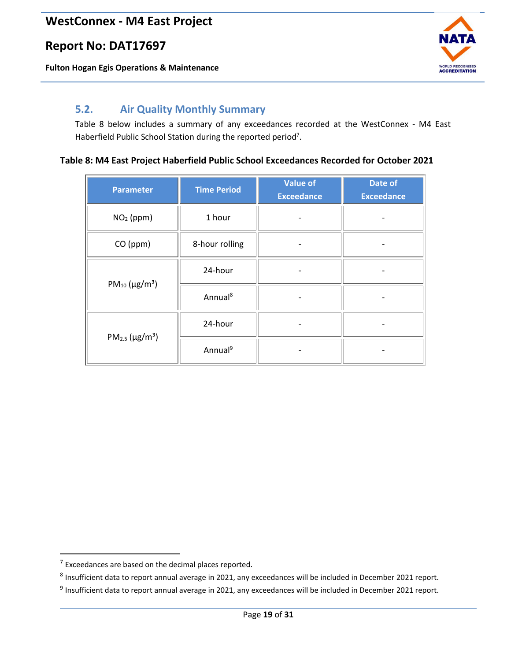**Fulton Hogan Egis Operations & Maintenance**



### <span id="page-18-0"></span>**5.2. Air Quality Monthly Summary**

Table 8 below includes a summary of any exceedances recorded at the WestConnex - M4 East Haberfield Public School Station during the reported period<sup>7</sup>.

#### <span id="page-18-1"></span>**Table 8: M4 East Project Haberfield Public School Exceedances Recorded for October 2021**

| <b>Parameter</b>                | <b>Time Period</b>  | <b>Value of</b><br><b>Exceedance</b> | Date of<br><b>Exceedance</b> |
|---------------------------------|---------------------|--------------------------------------|------------------------------|
| $NO2$ (ppm)                     | 1 hour              |                                      |                              |
| CO (ppm)                        | 8-hour rolling      |                                      |                              |
| $PM_{10} (\mu g/m^3)$           | 24-hour             |                                      |                              |
|                                 | Annual <sup>8</sup> |                                      |                              |
|                                 | 24-hour             |                                      |                              |
| $PM_{2.5}$ (µg/m <sup>3</sup> ) | Annual <sup>9</sup> |                                      |                              |

 $7$  Exceedances are based on the decimal places reported.

 $^8$  Insufficient data to report annual average in 2021, any exceedances will be included in December 2021 report.

<sup>&</sup>lt;sup>9</sup> Insufficient data to report annual average in 2021, any exceedances will be included in December 2021 report.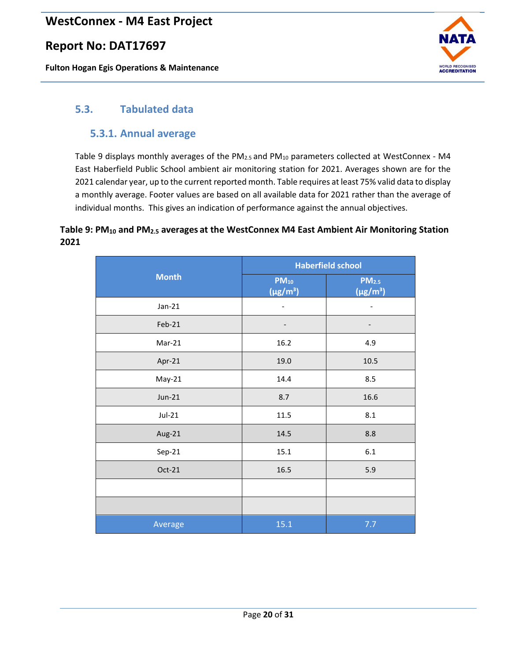### **Report No: DAT17697**

**Fulton Hogan Egis Operations & Maintenance**



### <span id="page-19-1"></span><span id="page-19-0"></span>**5.3. Tabulated data**

#### **5.3.1. Annual average**

[Table 9](#page-19-2) displays monthly averages of the PM<sub>2.5</sub> and PM<sub>10</sub> parameters collected at WestConnex - M4 East Haberfield Public School ambient air monitoring station for 2021. Averages shown are for the 2021 calendar year, up to the current reported month. Table requires at least 75% valid data to display a monthly average. Footer values are based on all available data for 2021 rather than the average of individual months. This gives an indication of performance against the annual objectives.

#### <span id="page-19-2"></span>**Table 9: PM<sup>10</sup> and PM2.5 averages at the WestConnex M4 East Ambient Air Monitoring Station 2021**

|              | <b>Haberfield school</b>   |                                    |  |
|--------------|----------------------------|------------------------------------|--|
| <b>Month</b> | $PM_{10}$<br>$(\mu g/m^3)$ | PM <sub>2.5</sub><br>$(\mu g/m^3)$ |  |
| $Jan-21$     |                            |                                    |  |
| Feb-21       | -                          |                                    |  |
| Mar-21       | 16.2                       | 4.9                                |  |
| Apr-21       | 19.0                       | 10.5                               |  |
| $May-21$     | 14.4                       | 8.5                                |  |
| $Jun-21$     | 8.7                        | 16.6                               |  |
| $Jul-21$     | 11.5                       | 8.1                                |  |
| Aug-21       | 14.5                       | 8.8                                |  |
| Sep-21       | 15.1                       | $6.1\,$                            |  |
| Oct-21       | 16.5                       | 5.9                                |  |
|              |                            |                                    |  |
|              |                            |                                    |  |
| Average      | 15.1                       | 7.7                                |  |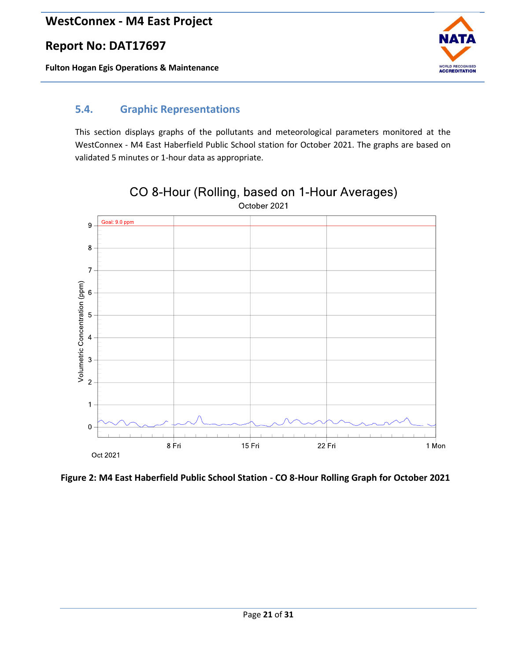**Fulton Hogan Egis Operations & Maintenance**



### <span id="page-20-0"></span>**5.4. Graphic Representations**

This section displays graphs of the pollutants and meteorological parameters monitored at the WestConnex - M4 East Haberfield Public School station for October 2021. The graphs are based on validated 5 minutes or 1-hour data as appropriate.



CO 8-Hour (Rolling, based on 1-Hour Averages) October 2021

<span id="page-20-1"></span>**Figure 2: M4 East Haberfield Public School Station - CO 8-Hour Rolling Graph for October 2021**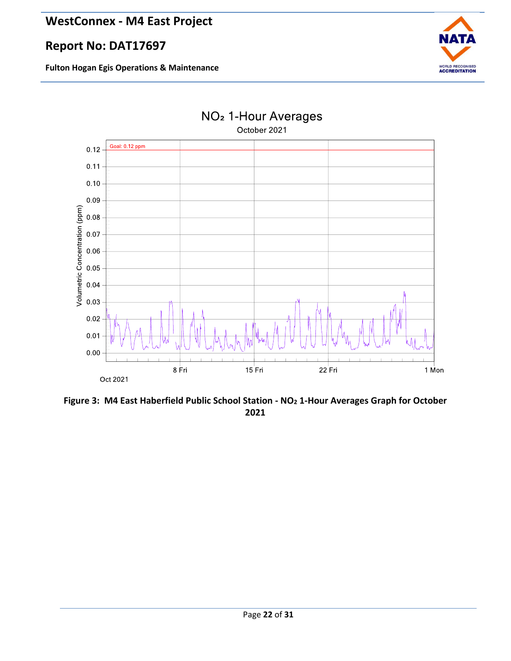# **Report No: DAT17697**





<span id="page-21-0"></span>**Figure 3: M4 East Haberfield Public School Station - NO<sup>2</sup> 1-Hour Averages Graph for October 2021**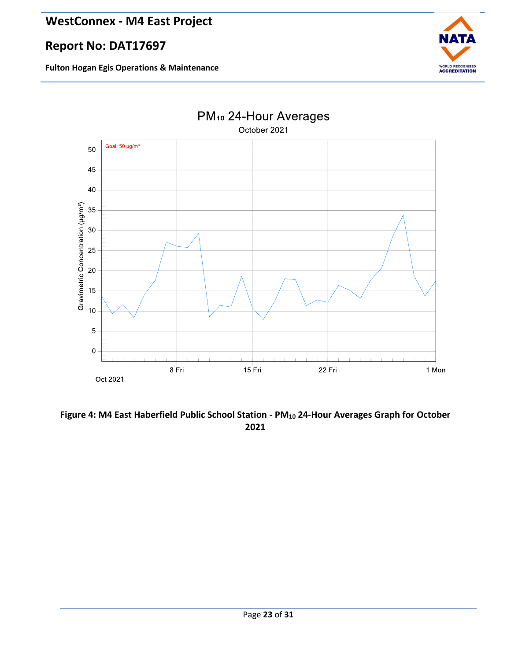



<span id="page-22-0"></span>**Figure 4: M4 East Haberfield Public School Station - PM<sup>10</sup> 24-Hour Averages Graph for October 2021**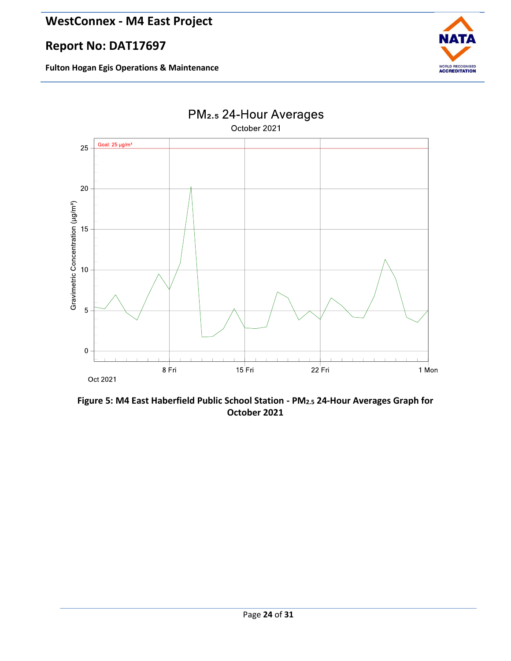



<span id="page-23-0"></span>**Figure 5: M4 East Haberfield Public School Station - PM2.5 24-Hour Averages Graph for October 2021**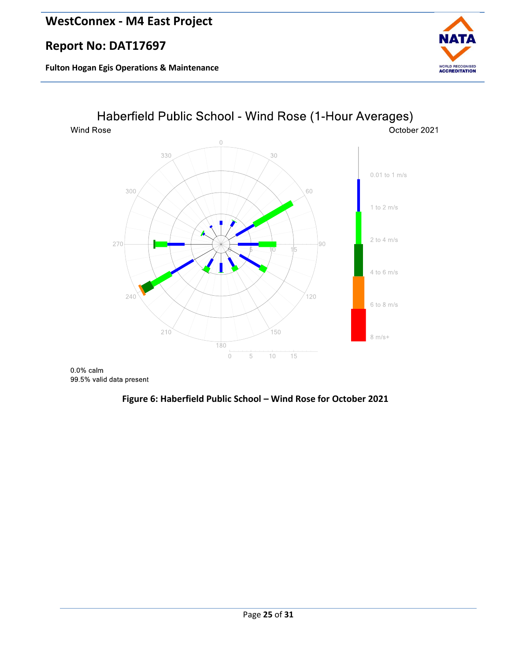### **Report No: DAT17697**

**Fulton Hogan Egis Operations & Maintenance**





<span id="page-24-0"></span> $0.0\%$  calm 99.5% valid data present

#### **Figure 6: Haberfield Public School – Wind Rose for October 2021**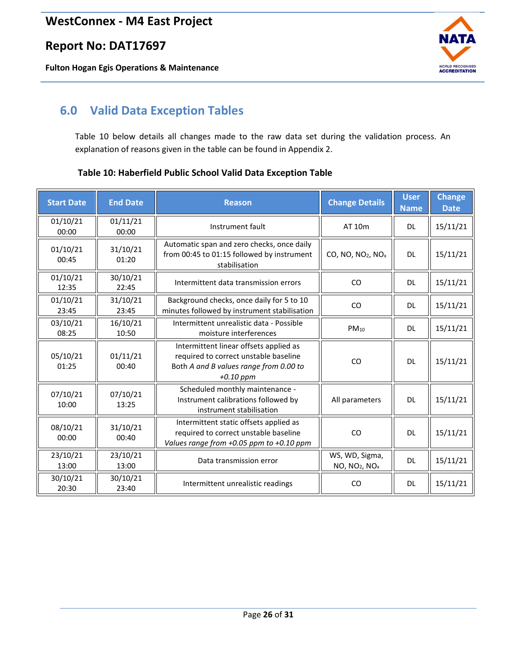**Fulton Hogan Egis Operations & Maintenance**



# <span id="page-25-0"></span>**6.0 Valid Data Exception Tables**

Table 10 below details all changes made to the raw data set during the validation process. An explanation of reasons given in the table can be found in Appendix 2.

#### <span id="page-25-1"></span>**Table 10: Haberfield Public School Valid Data Exception Table**

| <b>Start Date</b> | <b>End Date</b>   | <b>Reason</b>                                                                                                                            | <b>Change Details</b>                                   | <b>User</b><br><b>Name</b> | <b>Change</b><br><b>Date</b> |
|-------------------|-------------------|------------------------------------------------------------------------------------------------------------------------------------------|---------------------------------------------------------|----------------------------|------------------------------|
| 01/10/21<br>00:00 | 01/11/21<br>00:00 | Instrument fault                                                                                                                         | AT 10m                                                  | <b>DL</b>                  | 15/11/21                     |
| 01/10/21<br>00:45 | 31/10/21<br>01:20 | Automatic span and zero checks, once daily<br>from 00:45 to 01:15 followed by instrument<br>stabilisation                                | CO, NO, NO <sub>2</sub> , NO <sub>x</sub>               | <b>DL</b>                  | 15/11/21                     |
| 01/10/21<br>12:35 | 30/10/21<br>22:45 | Intermittent data transmission errors                                                                                                    | CO                                                      | <b>DL</b>                  | 15/11/21                     |
| 01/10/21<br>23:45 | 31/10/21<br>23:45 | Background checks, once daily for 5 to 10<br>minutes followed by instrument stabilisation                                                | CO                                                      | <b>DL</b>                  | 15/11/21                     |
| 03/10/21<br>08:25 | 16/10/21<br>10:50 | Intermittent unrealistic data - Possible<br>moisture interferences                                                                       | $PM_{10}$                                               | <b>DL</b>                  | 15/11/21                     |
| 05/10/21<br>01:25 | 01/11/21<br>00:40 | Intermittent linear offsets applied as<br>required to correct unstable baseline<br>Both A and B values range from 0.00 to<br>$+0.10$ ppm | CO                                                      | <b>DL</b>                  | 15/11/21                     |
| 07/10/21<br>10:00 | 07/10/21<br>13:25 | Scheduled monthly maintenance -<br>Instrument calibrations followed by<br>instrument stabilisation                                       | All parameters                                          | <b>DL</b>                  | 15/11/21                     |
| 08/10/21<br>00:00 | 31/10/21<br>00:40 | Intermittent static offsets applied as<br>required to correct unstable baseline<br>Values range from +0.05 ppm to +0.10 ppm              | CO                                                      | DL                         | 15/11/21                     |
| 23/10/21<br>13:00 | 23/10/21<br>13:00 | Data transmission error                                                                                                                  | WS, WD, Sigma,<br>NO, NO <sub>2</sub> , NO <sub>x</sub> | <b>DL</b>                  | 15/11/21                     |
| 30/10/21<br>20:30 | 30/10/21<br>23:40 | Intermittent unrealistic readings                                                                                                        | CO                                                      | <b>DL</b>                  | 15/11/21                     |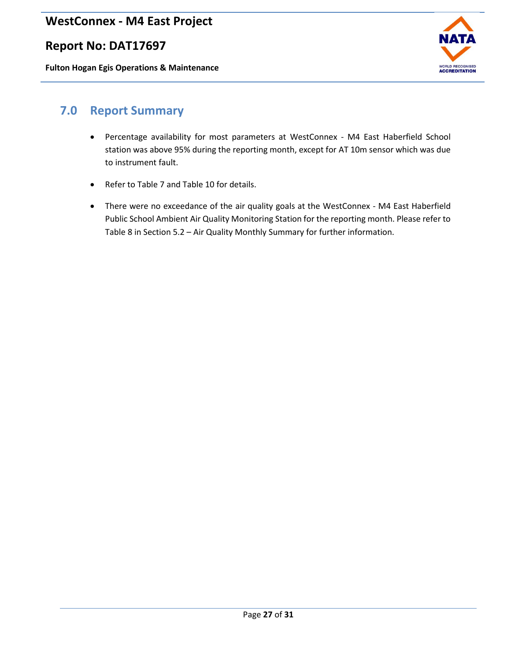### **Report No: DAT17697**

**Fulton Hogan Egis Operations & Maintenance**



## <span id="page-26-0"></span>**7.0 Report Summary**

- Percentage availability for most parameters at WestConnex M4 East Haberfield School station was above 95% during the reporting month, except for AT 10m sensor which was due to instrument fault.
- Refer to Table 7 and Table 10 for details.
- There were no exceedance of the air quality goals at the WestConnex M4 East Haberfield Public School Ambient Air Quality Monitoring Station for the reporting month. Please refer to Table 8 in Section 5.2 – Air Quality Monthly Summary for further information.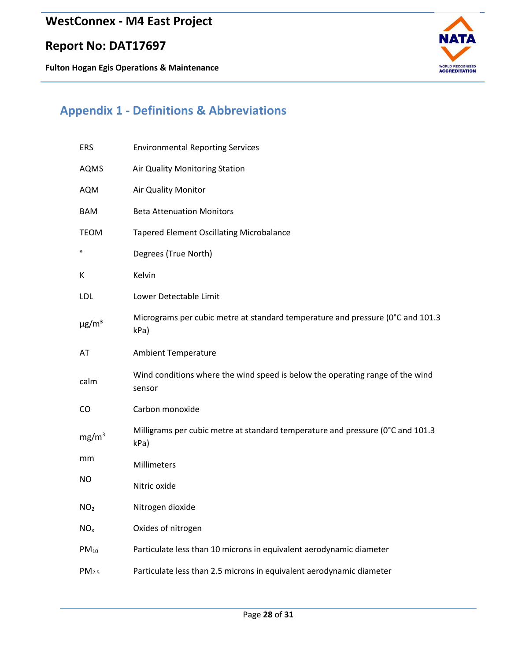**Fulton Hogan Egis Operations & Maintenance**



# <span id="page-27-0"></span>**Appendix 1 - Definitions & Abbreviations**

| <b>ERS</b>             | <b>Environmental Reporting Services</b>                                                 |
|------------------------|-----------------------------------------------------------------------------------------|
| <b>AQMS</b>            | Air Quality Monitoring Station                                                          |
| AQM                    | Air Quality Monitor                                                                     |
| <b>BAM</b>             | <b>Beta Attenuation Monitors</b>                                                        |
| <b>TEOM</b>            | <b>Tapered Element Oscillating Microbalance</b>                                         |
| $\mathbf{o}$           | Degrees (True North)                                                                    |
| К                      | Kelvin                                                                                  |
| <b>LDL</b>             | Lower Detectable Limit                                                                  |
| $\mu$ g/m <sup>3</sup> | Micrograms per cubic metre at standard temperature and pressure (0°C and 101.3<br>kPa)  |
| AT                     | <b>Ambient Temperature</b>                                                              |
| calm                   | Wind conditions where the wind speed is below the operating range of the wind<br>sensor |
| CO.                    | Carbon monoxide                                                                         |
| mg/m <sup>3</sup>      | Milligrams per cubic metre at standard temperature and pressure (0°C and 101.3<br>kPa)  |
| mm                     | Millimeters                                                                             |
| NO.                    | Nitric oxide                                                                            |
| NO <sub>2</sub>        | Nitrogen dioxide                                                                        |
| NO <sub>x</sub>        | Oxides of nitrogen                                                                      |
| $PM_{10}$              | Particulate less than 10 microns in equivalent aerodynamic diameter                     |
| PM <sub>2.5</sub>      | Particulate less than 2.5 microns in equivalent aerodynamic diameter                    |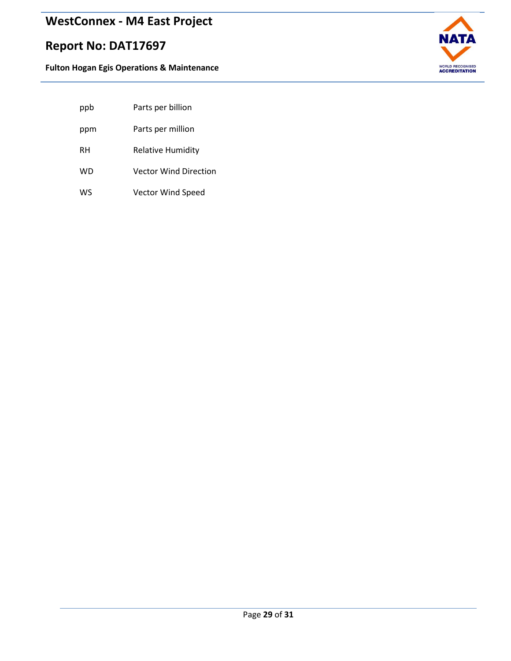# **Report No: DAT17697**



| Parts per billion |
|-------------------|
|                   |

- ppm Parts per million
- RH Relative Humidity
- WD Vector Wind Direction
- WS Vector Wind Speed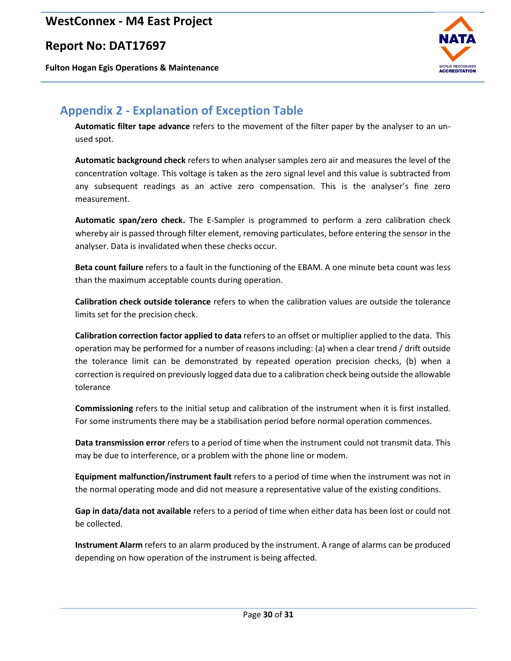# **Report No: DAT17697**

**Fulton Hogan Egis Operations & Maintenance**



# <span id="page-29-0"></span>**Appendix 2 - Explanation of Exception Table**

**Automatic filter tape advance** refers to the movement of the filter paper by the analyser to an unused spot.

**Automatic background check** refers to when analyser samples zero air and measures the level of the concentration voltage. This voltage is taken as the zero signal level and this value is subtracted from any subsequent readings as an active zero compensation. This is the analyser's fine zero measurement.

**Automatic span/zero check.** The E-Sampler is programmed to perform a zero calibration check whereby air is passed through filter element, removing particulates, before entering the sensor in the analyser. Data is invalidated when these checks occur.

**Beta count failure** refers to a fault in the functioning of the EBAM. A one minute beta count was less than the maximum acceptable counts during operation.

**Calibration check outside tolerance** refers to when the calibration values are outside the tolerance limits set for the precision check.

**Calibration correction factor applied to data** refers to an offset or multiplier applied to the data. This operation may be performed for a number of reasons including: (a) when a clear trend / drift outside the tolerance limit can be demonstrated by repeated operation precision checks, (b) when a correction is required on previously logged data due to a calibration check being outside the allowable tolerance

**Commissioning** refers to the initial setup and calibration of the instrument when it is first installed. For some instruments there may be a stabilisation period before normal operation commences.

**Data transmission error** refers to a period of time when the instrument could not transmit data. This may be due to interference, or a problem with the phone line or modem.

**Equipment malfunction/instrument fault** refers to a period of time when the instrument was not in the normal operating mode and did not measure a representative value of the existing conditions.

**Gap in data/data not available** refers to a period of time when either data has been lost or could not be collected.

**Instrument Alarm** refers to an alarm produced by the instrument. A range of alarms can be produced depending on how operation of the instrument is being affected.